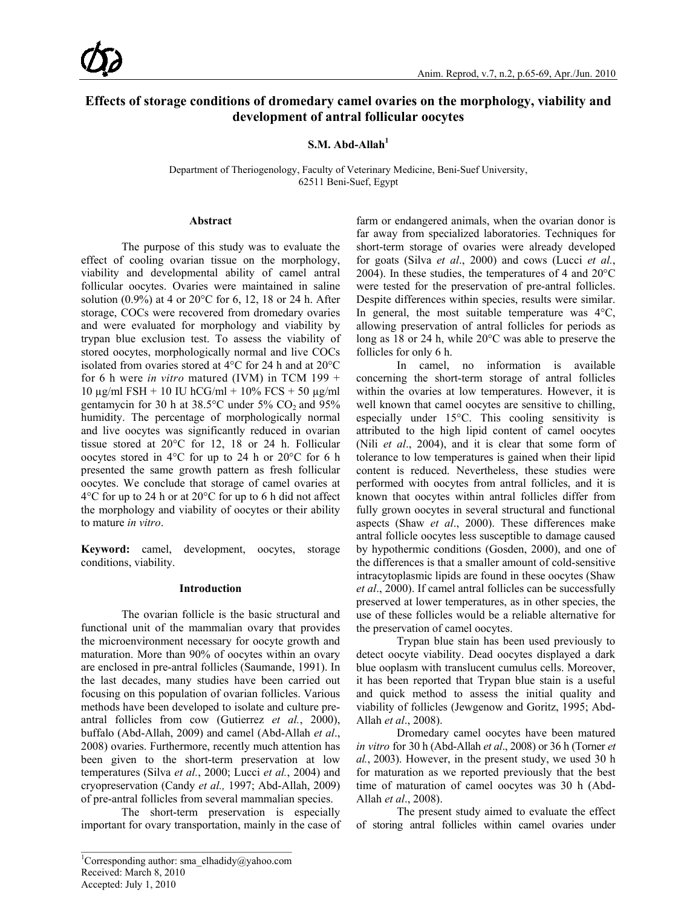# **Effects of storage conditions of dromedary camel ovaries on the morphology, viability and development of antral follicular oocytes**

**S.M. Abd-Allah<sup>1</sup>**

Department of Theriogenology, Faculty of Veterinary Medicine, Beni-Suef University, 62511 Beni-Suef, Egypt

## **Abstract**

The purpose of this study was to evaluate the effect of cooling ovarian tissue on the morphology, viability and developmental ability of camel antral follicular oocytes. Ovaries were maintained in saline solution  $(0.9\%)$  at 4 or 20 $^{\circ}$ C for 6, 12, 18 or 24 h. After storage, COCs were recovered from dromedary ovaries and were evaluated for morphology and viability by trypan blue exclusion test. To assess the viability of stored oocytes, morphologically normal and live COCs isolated from ovaries stored at 4°C for 24 h and at 20°C for 6 h were *in vitro* matured (IVM) in TCM 199 + 10 μg/ml FSH + 10 IU hCG/ml + 10% FCS + 50 μg/ml gentamycin for 30 h at  $38.5^{\circ}$ C under  $5\%$  CO<sub>2</sub> and  $95\%$ humidity. The percentage of morphologically normal and live oocytes was significantly reduced in ovarian tissue stored at 20°C for 12, 18 or 24 h. Follicular oocytes stored in 4°C for up to 24 h or 20°C for 6 h presented the same growth pattern as fresh follicular oocytes. We conclude that storage of camel ovaries at 4°C for up to 24 h or at 20°C for up to 6 h did not affect the morphology and viability of oocytes or their ability to mature *in vitro*.

**Keyword:** camel, development, oocytes, storage conditions, viability.

# **Introduction**

The ovarian follicle is the basic structural and functional unit of the mammalian ovary that provides the microenvironment necessary for oocyte growth and maturation. More than 90% of oocytes within an ovary are enclosed in pre-antral follicles (Saumande, 1991). In the last decades, many studies have been carried out focusing on this population of ovarian follicles. Various methods have been developed to isolate and culture preantral follicles from cow (Gutierrez *et al.*, 2000), buffalo (Abd-Allah, 2009) and camel (Abd-Allah *et al*., 2008) ovaries. Furthermore, recently much attention has been given to the short-term preservation at low temperatures (Silva *et al.*, 2000; Lucci *et al.*, 2004) and cryopreservation (Candy *et al.,* 1997; Abd-Allah, 2009) of pre-antral follicles from several mammalian species.

The short-term preservation is especially important for ovary transportation, mainly in the case of farm or endangered animals, when the ovarian donor is far away from specialized laboratories. Techniques for short-term storage of ovaries were already developed for goats (Silva *et al*., 2000) and cows (Lucci *et al.*, 2004). In these studies, the temperatures of 4 and 20°C were tested for the preservation of pre-antral follicles. Despite differences within species, results were similar. In general, the most suitable temperature was  $4^{\circ}C$ , allowing preservation of antral follicles for periods as long as 18 or 24 h, while 20°C was able to preserve the follicles for only 6 h.

In camel, no information is available concerning the short-term storage of antral follicles within the ovaries at low temperatures. However, it is well known that camel oocytes are sensitive to chilling, especially under 15°C. This cooling sensitivity is attributed to the high lipid content of camel oocytes (Nili *et al*., 2004), and it is clear that some form of tolerance to low temperatures is gained when their lipid content is reduced. Nevertheless, these studies were performed with oocytes from antral follicles, and it is known that oocytes within antral follicles differ from fully grown oocytes in several structural and functional aspects (Shaw *et al*., 2000). These differences make antral follicle oocytes less susceptible to damage caused by hypothermic conditions (Gosden, 2000), and one of the differences is that a smaller amount of cold-sensitive intracytoplasmic lipids are found in these oocytes (Shaw *et al*., 2000). If camel antral follicles can be successfully preserved at lower temperatures, as in other species, the use of these follicles would be a reliable alternative for the preservation of camel oocytes.

Trypan blue stain has been used previously to detect oocyte viability. Dead oocytes displayed a dark blue ooplasm with translucent cumulus cells. Moreover, it has been reported that Trypan blue stain is a useful and quick method to assess the initial quality and viability of follicles (Jewgenow and Goritz, 1995; Abd-Allah *et al*., 2008).

Dromedary camel oocytes have been matured *in vitro* for 30 h (Abd-Allah *et al*., 2008) or 36 h (Torner *et al.*, 2003). However, in the present study, we used 30 h for maturation as we reported previously that the best time of maturation of camel oocytes was 30 h (Abd-Allah *et al*., 2008).

The present study aimed to evaluate the effect of storing antral follicles within camel ovaries under

\_\_\_\_\_\_\_\_\_\_\_\_\_\_\_\_\_\_\_\_\_\_\_\_\_\_\_\_\_\_\_\_\_\_\_\_\_\_\_\_\_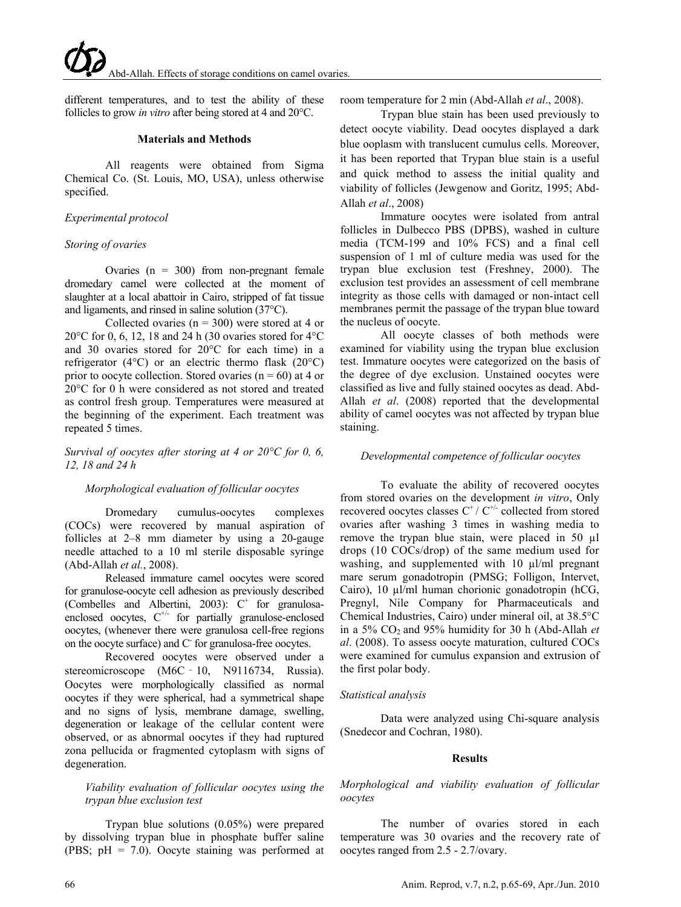different temperatures, and to test the ability of these follicles to grow *in vitro* after being stored at 4 and 20°C.

#### **Materials and Methods**

All reagents were obtained from Sigma Chemical Co. (St. Louis, MO, USA), unless otherwise specified.

## *Experimental protocol*

#### *Storing of ovaries*

Ovaries ( $n = 300$ ) from non-pregnant female dromedary camel were collected at the moment of slaughter at a local abattoir in Cairo, stripped of fat tissue and ligaments, and rinsed in saline solution (37°C).

Collected ovaries ( $n = 300$ ) were stored at 4 or 20°C for 0, 6, 12, 18 and 24 h (30 ovaries stored for 4°C and 30 ovaries stored for 20°C for each time) in a refrigerator (4°C) or an electric thermo flask (20°C) prior to oocyte collection. Stored ovaries ( $n = 60$ ) at 4 or 20°C for 0 h were considered as not stored and treated as control fresh group. Temperatures were measured at the beginning of the experiment. Each treatment was repeated 5 times.

## *Survival of oocytes after storing at 4 or 20°C for 0, 6, 12, 18 and 24 h*

#### *Morphological evaluation of follicular oocytes*

Dromedary cumulus-oocytes complexes (COCs) were recovered by manual aspiration of follicles at 2–8 mm diameter by using a 20-gauge needle attached to a 10 ml sterile disposable syringe (Abd-Allah *et al.*, 2008).

Released immature camel oocytes were scored for granulose-oocyte cell adhesion as previously described (Combelles and Albertini, 2003):  $C^+$  for granulosaenclosed oocytes,  $C^{+/}$  for partially granulose-enclosed oocytes, (whenever there were granulosa cell-free regions on the oocyte surface) and C<sup>-</sup> for granulosa-free oocytes.

Recovered oocytes were observed under a stereomicroscope (M6C - 10, N9116734, Russia). Oocytes were morphologically classified as normal oocytes if they were spherical, had a symmetrical shape and no signs of lysis, membrane damage, swelling, degeneration or leakage of the cellular content were observed, or as abnormal oocytes if they had ruptured zona pellucida or fragmented cytoplasm with signs of degeneration.

## *Viability evaluation of follicular oocytes using the trypan blue exclusion test*

Trypan blue solutions (0.05%) were prepared by dissolving trypan blue in phosphate buffer saline (PBS; pH = 7.0). Oocyte staining was performed at room temperature for 2 min (Abd-Allah *et al*., 2008).

Trypan blue stain has been used previously to detect oocyte viability. Dead oocytes displayed a dark blue ooplasm with translucent cumulus cells. Moreover, it has been reported that Trypan blue stain is a useful and quick method to assess the initial quality and viability of follicles (Jewgenow and Goritz, 1995; Abd-Allah *et al*., 2008)

Immature oocytes were isolated from antral follicles in Dulbecco PBS (DPBS), washed in culture media (TCM-199 and 10% FCS) and a final cell suspension of 1 ml of culture media was used for the trypan blue exclusion test (Freshney, 2000). The exclusion test provides an assessment of cell membrane integrity as those cells with damaged or non-intact cell membranes permit the passage of the trypan blue toward the nucleus of oocyte.

All oocyte classes of both methods were examined for viability using the trypan blue exclusion test. Immature oocytes were categorized on the basis of the degree of dye exclusion. Unstained oocytes were classified as live and fully stained oocytes as dead. Abd-Allah *et al*. (2008) reported that the developmental ability of camel oocytes was not affected by trypan blue staining.

## *Developmental competence of follicular oocytes*

To evaluate the ability of recovered oocytes from stored ovaries on the development *in vitro*, Only recovered oocytes classes  $C^{\dagger} / C^{\dagger \dagger}$  collected from stored ovaries after washing 3 times in washing media to remove the trypan blue stain, were placed in 50 µl drops (10 COCs/drop) of the same medium used for washing, and supplemented with 10  $\mu$ l/ml pregnant mare serum gonadotropin (PMSG; Folligon, Intervet, Cairo), 10 µl/ml human chorionic gonadotropin (hCG, Pregnyl, Nile Company for Pharmaceuticals and Chemical Industries, Cairo) under mineral oil, at 38.5°C in a 5% CO2 and 95% humidity for 30 h (Abd-Allah *et al*. (2008). To assess oocyte maturation, cultured COCs were examined for cumulus expansion and extrusion of the first polar body.

#### *Statistical analysis*

Data were analyzed using Chi-square analysis (Snedecor and Cochran, 1980).

#### **Results**

*Morphological and viability evaluation of follicular oocytes*

The number of ovaries stored in each temperature was 30 ovaries and the recovery rate of oocytes ranged from 2.5 - 2.7/ovary.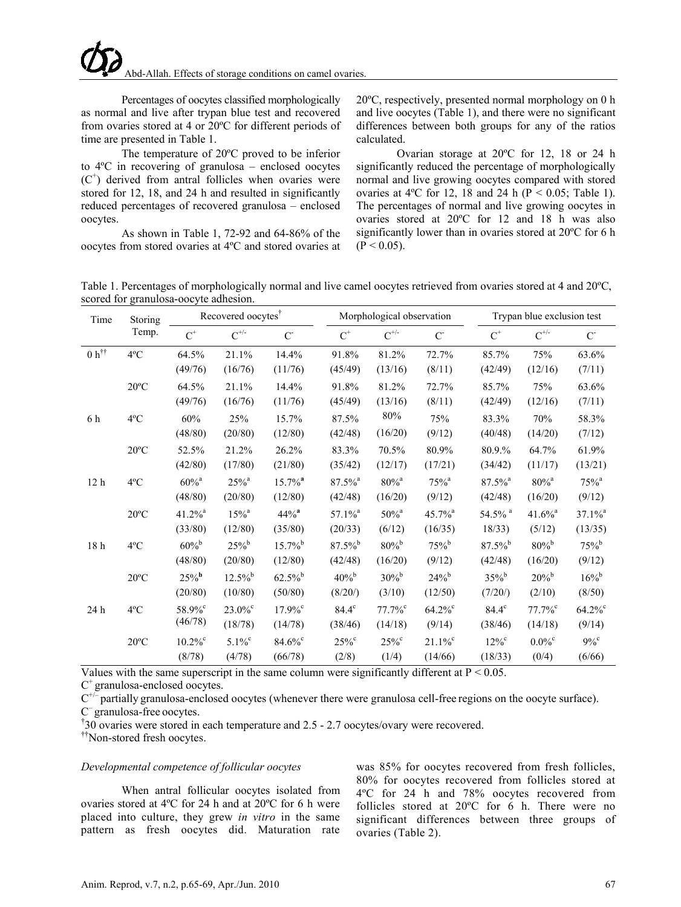Percentages of oocytes classified morphologically as normal and live after trypan blue test and recovered from ovaries stored at 4 or 20ºC for different periods of time are presented in Table 1.

The temperature of 20ºC proved to be inferior to 4ºC in recovering of granulosa – enclosed oocytes (C+ ) derived from antral follicles when ovaries were stored for 12, 18, and 24 h and resulted in significantly reduced percentages of recovered granulosa – enclosed oocytes.

As shown in Table 1, 72-92 and 64-86% of the oocytes from stored ovaries at 4ºC and stored ovaries at 20ºC, respectively, presented normal morphology on 0 h and live oocytes (Table 1), and there were no significant differences between both groups for any of the ratios calculated.

Ovarian storage at 20ºC for 12, 18 or 24 h significantly reduced the percentage of morphologically normal and live growing oocytes compared with stored ovaries at 4°C for 12, 18 and 24 h ( $P < 0.05$ ; Table 1). The percentages of normal and live growing oocytes in ovaries stored at 20ºC for 12 and 18 h was also significantly lower than in ovaries stored at 20ºC for 6 h  $(P < 0.05)$ .

Table 1. Percentages of morphologically normal and live camel oocytes retrieved from ovaries stored at 4 and 20ºC, scored for granulosa-oocyte adhesion.

| Time<br>Storing |                       | Recovered oocytes <sup>†</sup> |                       |                       | Morphological observation |                       |                       | Trypan blue exclusion test |                       |  |
|-----------------|-----------------------|--------------------------------|-----------------------|-----------------------|---------------------------|-----------------------|-----------------------|----------------------------|-----------------------|--|
| Temp.           | $C^+$                 | $\text{C}^{+\!/\! \text{-}}$   | $C^{\sim}$            | $\mbox{C}^+$          | $C^{+\!/-}$               | C                     | $\mbox{C}^+$          | $\text{C}^{+\!/\!}$        | $C^{\cdot}$           |  |
| $4^{\circ}$ C   | 64.5%                 | 21.1%                          | 14.4%                 | 91.8%                 | 81.2%                     | 72.7%                 | 85.7%                 | 75%                        | 63.6%                 |  |
|                 | (49/76)               | (16/76)                        | (11/76)               | (45/49)               | (13/16)                   | (8/11)                | (42/49)               | (12/16)                    | (7/11)                |  |
| $20^{\circ}$ C  | 64.5%                 | 21.1%                          | 14.4%                 | 91.8%                 | 81.2%                     | 72.7%                 | 85.7%                 | 75%                        | 63.6%                 |  |
|                 | (49/76)               | (16/76)                        | (11/76)               | (45/49)               | (13/16)                   | (8/11)                | (42/49)               | (12/16)                    | (7/11)                |  |
| $4^{\circ}C$    | 60%                   | 25%                            | 15.7%                 | 87.5%                 | 80%                       | 75%                   | 83.3%                 | 70%                        | 58.3%                 |  |
|                 | (48/80)               | (20/80)                        | (12/80)               | (42/48)               | (16/20)                   | (9/12)                | (40/48)               | (14/20)                    | (7/12)                |  |
| $20^{\circ}$ C  | 52.5%                 | 21.2%                          | 26.2%                 | 83.3%                 | 70.5%                     | 80.9%                 | 80.9.%                | 64.7%                      | 61.9%                 |  |
|                 | (42/80)               | (17/80)                        | (21/80)               | (35/42)               | (12/17)                   | (17/21)               | (34/42)               | (11/17)                    | (13/21)               |  |
| $4^{\circ}$ C   | $60\%$ <sup>a</sup>   | $25\%$ <sup>a</sup>            | $15.7\%$ <sup>a</sup> | $87.5\%$ <sup>a</sup> | $80\%$ <sup>a</sup>       | $75%$ <sup>a</sup>    | $87.5\%$ <sup>a</sup> | $80\%$ <sup>a</sup>        | $75%$ <sup>a</sup>    |  |
|                 | (48/80)               | (20/80)                        | (12/80)               | (42/48)               | (16/20)                   | (9/12)                | (42/48)               | (16/20)                    | (9/12)                |  |
| $20^{\circ}$ C  | $41.2\%$ <sup>a</sup> | $15\%$ <sup>a</sup>            | $44\%$ <sup>a</sup>   | $57.1\%$ <sup>a</sup> | $50\%$ <sup>a</sup>       | 45.7% <sup>a</sup>    | 54.5% <sup>a</sup>    | $41.6\%$ <sup>a</sup>      | $37.1\%$ <sup>a</sup> |  |
|                 | (33/80)               | (12/80)                        | (35/80)               | (20/33)               | (6/12)                    | (16/35)               | 18/33                 | (5/12)                     | (13/35)               |  |
| $4^{\circ}$ C   | $60\%$ <sup>b</sup>   | $25%^{b}$                      | $15.7\%$ <sup>b</sup> | $87.5\%$ <sup>b</sup> | $80\%$ <sup>b</sup>       | $75%^{b}$             | $87.5\%$ <sup>b</sup> | $80\%$ <sup>b</sup>        | $75%^{b}$             |  |
|                 | (48/80)               | (20/80)                        | (12/80)               | (42/48)               | (16/20)                   | (9/12)                | (42/48)               | (16/20)                    | (9/12)                |  |
| $20^{\circ}$ C  | $25\%$ <sup>b</sup>   | $12.5\%$ <sup>b</sup>          | $62.5\%$ <sup>b</sup> | $40\%$ <sup>b</sup>   | $30\%$ <sup>b</sup>       | $24%^{b}$             | $35\%$ <sup>b</sup>   | $20\%$ <sup>b</sup>        | $16\%^{\rm b}$        |  |
|                 | (20/80)               | (10/80)                        | (50/80)               | (8/20/                | (3/10)                    | (12/50)               | (7/20/                | (2/10)                     | (8/50)                |  |
| $4^{\circ}C$    | 58.9%°                | $23.0\%$                       | $17.9\%$ <sup>c</sup> | $84.4^\circ$          | $77.7\%$                  | $64.2\%$              | $84.4^\circ$          | $77.7\%$                   | $64.2\%$              |  |
|                 |                       | (18/78)                        | (14/78)               | (38/46)               | (14/18)                   | (9/14)                | (38/46)               | (14/18)                    | (9/14)                |  |
| $20^{\circ}$ C  | $10.2\%^c$            | $5.1\%^c$                      | $84.6\%$              | $25\%^c$              | $25\%$                    | $21.1\%$ <sup>c</sup> | $12\%^c$              | $0.0\%^{\circ}$            | $9\%$ <sup>c</sup>    |  |
|                 | (8/78)                | (4/78)                         | (66/78)               | (2/8)                 | (1/4)                     | (14/66)               | (18/33)               | (0/4)                      | (6/66)                |  |
|                 | $\ddotsc$             | (46/78)                        |                       |                       |                           |                       | $\cdots$              |                            |                       |  |

Values with the same superscript in the same column were significantly different at  $P < 0.05$ .

 $C^+$  granulosa-enclosed oocytes.

 $C^{+/-}$  partially granulosa-enclosed oocytes (whenever there were granulosa cell-free regions on the oocyte surface).

 $C$ <sup>–</sup> granulosa-free oocytes.

30 ovaries were stored in each temperature and 2.5 - 2.7 oocytes/ovary were recovered.

††Non-stored fresh oocytes.

# *Developmental competence of follicular oocytes*

When antral follicular oocytes isolated from ovaries stored at 4ºC for 24 h and at 20ºC for 6 h were placed into culture, they grew *in vitro* in the same pattern as fresh oocytes did. Maturation rate

was 85% for oocytes recovered from fresh follicles, 80% for oocytes recovered from follicles stored at 4ºC for 24 h and 78% oocytes recovered from follicles stored at 20ºC for 6 h. There were no significant differences between three groups of ovaries (Table 2).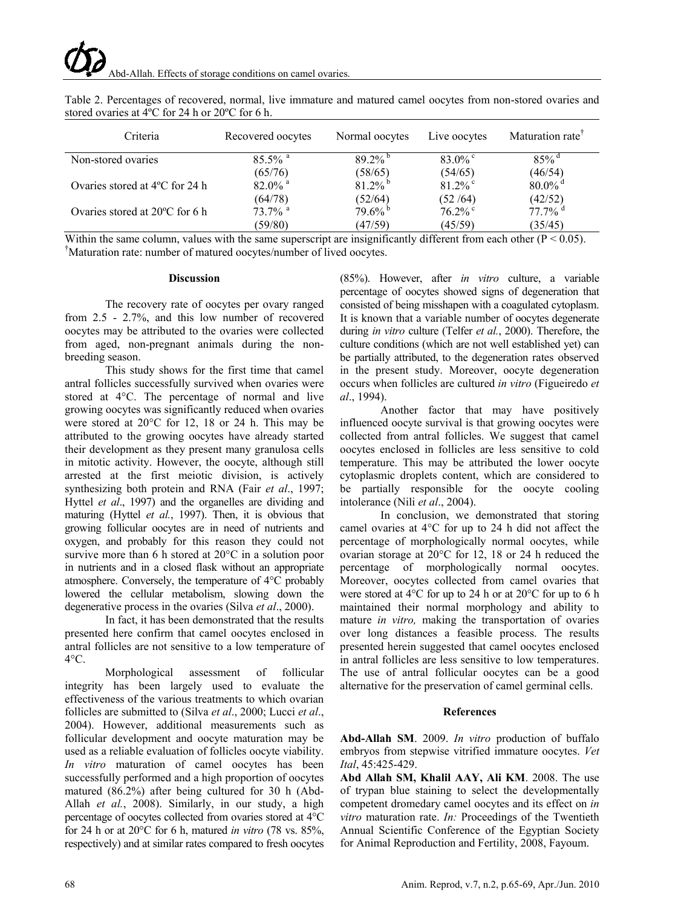| Criteria                                 | Recovered oocytes     | Normal oocytes        | Live oocytes | Maturation rate <sup>T</sup> |
|------------------------------------------|-----------------------|-----------------------|--------------|------------------------------|
| Non-stored ovaries                       | $85.5\%$ <sup>a</sup> | 89 2% b               | $83.0\%$     | $85\%$ <sup>d</sup>          |
|                                          | (65/76)               | (58/65)               | (54/65)      | (46/54)                      |
| Ovaries stored at $4^{\circ}$ C for 24 h | $82.0\%$ <sup>a</sup> | $81.2\%$              | $81.2\%$     | $80.0\%$ <sup>d</sup>        |
|                                          | (64/78)               | (52/64)               | (52/64)      | (42/52)                      |
| Ovaries stored at $20^{\circ}$ C for 6 h | $73.7\%$ <sup>a</sup> | $79.6\%$ <sup>b</sup> | $76.2\%$     | $77.7\%$ <sup>d</sup>        |
|                                          | (59/80)               | (47/59)               | (45/59)      | (35/45)                      |

Table 2. Percentages of recovered, normal, live immature and matured camel oocytes from non-stored ovaries and stored ovaries at 4ºC for 24 h or 20ºC for 6 h.

Within the same column, values with the same superscript are insignificantly different from each other ( $P < 0.05$ ). Maturation rate: number of matured oocytes/number of lived oocytes.

#### **Discussion**

The recovery rate of oocytes per ovary ranged from 2.5 - 2.7%, and this low number of recovered oocytes may be attributed to the ovaries were collected from aged, non-pregnant animals during the nonbreeding season.

This study shows for the first time that camel antral follicles successfully survived when ovaries were stored at 4°C. The percentage of normal and live growing oocytes was significantly reduced when ovaries were stored at 20°C for 12, 18 or 24 h. This may be attributed to the growing oocytes have already started their development as they present many granulosa cells in mitotic activity. However, the oocyte, although still arrested at the first meiotic division, is actively synthesizing both protein and RNA (Fair *et al*., 1997; Hyttel *et al*., 1997) and the organelles are dividing and maturing (Hyttel *et al.*, 1997). Then, it is obvious that growing follicular oocytes are in need of nutrients and oxygen, and probably for this reason they could not survive more than 6 h stored at 20°C in a solution poor in nutrients and in a closed flask without an appropriate atmosphere. Conversely, the temperature of 4°C probably lowered the cellular metabolism, slowing down the degenerative process in the ovaries (Silva *et al*., 2000).

In fact, it has been demonstrated that the results presented here confirm that camel oocytes enclosed in antral follicles are not sensitive to a low temperature of  $4^{\circ}$ C.

Morphological assessment of follicular integrity has been largely used to evaluate the effectiveness of the various treatments to which ovarian follicles are submitted to (Silva *et al*., 2000; Lucci *et al*., 2004). However, additional measurements such as follicular development and oocyte maturation may be used as a reliable evaluation of follicles oocyte viability. *In vitro* maturation of camel oocytes has been successfully performed and a high proportion of oocytes matured (86.2%) after being cultured for 30 h (Abd-Allah *et al.*, 2008). Similarly, in our study, a high percentage of oocytes collected from ovaries stored at 4°C for 24 h or at 20°C for 6 h, matured *in vitro* (78 vs. 85%, respectively) and at similar rates compared to fresh oocytes

(85%). However, after *in vitro* culture, a variable percentage of oocytes showed signs of degeneration that consisted of being misshapen with a coagulated cytoplasm. It is known that a variable number of oocytes degenerate during *in vitro* culture (Telfer *et al.*, 2000). Therefore, the culture conditions (which are not well established yet) can be partially attributed, to the degeneration rates observed in the present study. Moreover, oocyte degeneration occurs when follicles are cultured *in vitro* (Figueiredo *et al*., 1994).

Another factor that may have positively influenced oocyte survival is that growing oocytes were collected from antral follicles. We suggest that camel oocytes enclosed in follicles are less sensitive to cold temperature. This may be attributed the lower oocyte cytoplasmic droplets content, which are considered to be partially responsible for the oocyte cooling intolerance (Nili *et al*., 2004).

In conclusion, we demonstrated that storing camel ovaries at 4°C for up to 24 h did not affect the percentage of morphologically normal oocytes, while ovarian storage at 20°C for 12, 18 or 24 h reduced the percentage of morphologically normal oocytes. Moreover, oocytes collected from camel ovaries that were stored at 4°C for up to 24 h or at 20°C for up to 6 h maintained their normal morphology and ability to mature *in vitro,* making the transportation of ovaries over long distances a feasible process. The results presented herein suggested that camel oocytes enclosed in antral follicles are less sensitive to low temperatures. The use of antral follicular oocytes can be a good alternative for the preservation of camel germinal cells.

# **References**

**Abd-Allah SM**. 2009. *In vitro* production of buffalo embryos from stepwise vitrified immature oocytes. *Vet Ital*, 45:425-429.

**Abd Allah SM, Khalil AAY, Ali KM**. 2008. The use of trypan blue staining to select the developmentally competent dromedary camel oocytes and its effect on *in vitro* maturation rate. *In:* Proceedings of the Twentieth Annual Scientific Conference of the Egyptian Society for Animal Reproduction and Fertility, 2008, Fayoum.